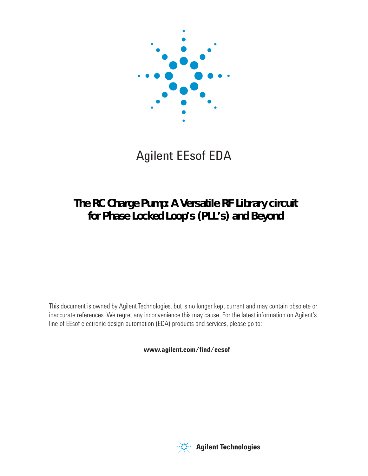

# Agilent EEsof EDA

## **The RC Charge Pump: A Versatile RF Library circuit for Phase Locked Loop's (PLL's) and Beyond**

This document is owned by Agilent Technologies, but is no longer kept current and may contain obsolete or inaccurate references. We regret any inconvenience this may cause. For the latest information on Agilent's line of EEsof electronic design automation (EDA) products and services, please go to:

www.agilent.com/find/eesof

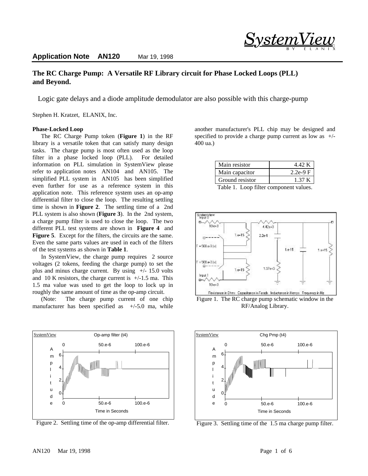## **The RC Charge Pump: A Versatile RF Library circuit for Phase Locked Loops (PLL) and Beyond.**

Logic gate delays and a diode amplitude demodulator are also possible with this charge-pump

Stephen H. Kratzet, ELANIX, Inc.

#### **Phase-Locked Loop**

The RC Charge Pump token (**Figure 1**) in the RF library is a versatile token that can satisfy many design tasks. The charge pump is most often used as the loop filter in a phase locked loop (PLL). For detailed information on PLL simulation in SystemView please refer to application notes AN104 and AN105. The simplified PLL system in AN105 has been simplified even further for use as a reference system in this application note. This reference system uses an op-amp differential filter to close the loop. The resulting settling time is shown in **Figure 2**. The settling time of a 2nd PLL system is also shown (**Figure 3**). In the 2nd system, a charge pump filter is used to close the loop. The two different PLL test systems are shown in **Figure 4** and **Figure 5**. Except for the filters, the circuits are the same. Even the same parts values are used in each of the filters of the test systems as shown in **Table 1**.

In SystemView, the charge pump requires 2 source voltages (2 tokens, feeding the charge pump) to set the plus and minus charge current. By using  $+/- 15.0$  volts and 10 K resistors, the charge current is  $+/-1.5$  ma. This 1.5 ma value was used to get the loop to lock up in roughly the same amount of time as the op-amp circuit.

(Note: The charge pump current of one chip manufacturer has been specified as  $+/-5.0$  ma, while



Figure 2. Settling time of the op-amp differential filter.

another manufacturer's PLL chip may be designed and specified to provide a charge pump current as low as  $+/-$ 400 ua.)

<u>System </u>

®

| Main resistor                                                                         | 4.42 K    |
|---------------------------------------------------------------------------------------|-----------|
| Main capacitor                                                                        | $2.2e-9F$ |
| Ground resistor                                                                       | 1.37 K    |
| $T_{\rm{m}}1.1.1 \pm 1.1$ and $T_{\rm{m}}1.1$ and $T_{\rm{m}}1.1$ and $T_{\rm{m}}1.1$ |           |

Table 1. Loop filter component values.



Figure 1. The RC charge pump schematic window in the RF/Analog Library.



Figure 3. Settling time of the 1.5 ma charge pump filter.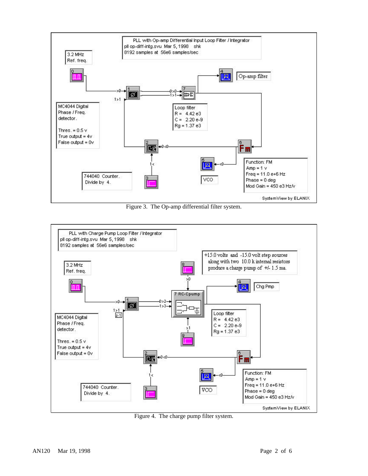

Figure 3. The Op-amp differential filter system.



Figure 4. The charge pump filter system.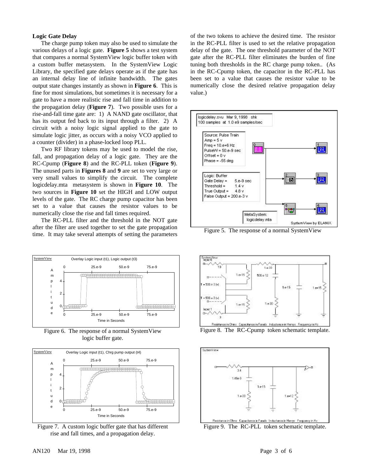#### **Logic Gate Delay**

The charge pump token may also be used to simulate the various delays of a logic gate. **Figure 5** shows a test system that compares a normal SystemView logic buffer token with a custom buffer metasystem. In the SystemView Logic Library, the specified gate delays operate as if the gate has an internal delay line of infinite bandwidth. The gates output state changes instantly as shown in **Figure 6**. This is fine for most simulations, but sometimes it is necessary for a gate to have a more realistic rise and fall time in addition to the propagation delay (**Figure 7**). Two possible uses for a rise-and-fall time gate are: 1) A NAND gate oscillator, that has its output fed back to its input through a filter. 2) A circuit with a noisy logic signal applied to the gate to simulate logic jitter, as occurs with a noisy VCO applied to a counter (divider) in a phase-locked loop PLL.

Two RF library tokens may be used to model the rise, fall, and propagation delay of a logic gate. They are the RC-Cpump (**Figure 8**) and the RC-PLL token (**Figure 9**). The unused parts in **Figures 8** and **9** are set to very large or very small values to simplify the circuit. The complete logicdelay.mta metasystem is shown in **Figure 10**. The two sources in **Figure 10** set the HIGH and LOW output levels of the gate. The RC charge pump capacitor has been set to a value that causes the resistor values to be numerically close the rise and fall times required.

The RC-PLL filter and the threshold in the NOT gate after the filter are used together to set the gate propagation time. It may take several attempts of setting the parameters



Figure 6. The response of a normal SystemView logic buffer gate.



Figure 7. A custom logic buffer gate that has different rise and fall times, and a propagation delay.

of the two tokens to achieve the desired time. The resistor in the RC-PLL filter is used to set the relative propagation delay of the gate. The one threshold parameter of the NOT gate after the RC-PLL filter eliminates the burden of fine tuning both thresholds in the RC charge pump token.. (As in the RC-Cpump token, the capacitor in the RC-PLL has been set to a value that causes the resistor value to be numerically close the desired relative propagation delay value.)



Figure 5. The response of a normal SystemView



Figure 8. The RC-Cpump token schematic template.



Figure 9. The RC-PLL token schematic template.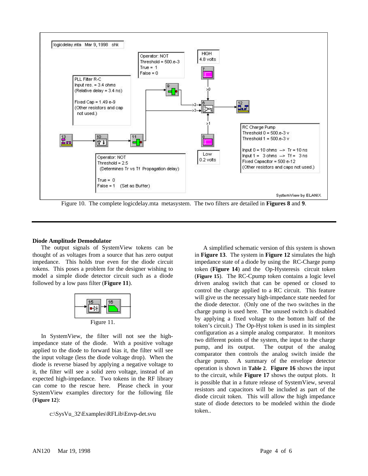

#### **Diode Amplitude Demodulator**

The output signals of SystemView tokens can be thought of as voltages from a source that has zero output impedance. This holds true even for the diode circuit tokens. This poses a problem for the designer wishing to model a simple diode detector circuit such as a diode followed by a low pass filter (**Figure 11**).



In SystemView, the filter will not see the highimpedance state of the diode. With a positive voltage applied to the diode to forward bias it, the filter will see the input voltage (less the diode voltage drop). When the diode is reverse biased by applying a negative voltage to it, the filter will see a solid zero voltage, instead of an expected high-impedance. Two tokens in the RF library can come to the rescue here. Please check in your SystemView examples directory for the following file (**Figure 12**):

c:\SysVu\_32\Examples\RFLib\Envp-det.svu

A simplified schematic version of this system is shown in **Figure 13**. The system in **Figure 12** simulates the high impedance state of a diode by using the RC-Charge pump token (**Figure 14**) and the Op-Hysteresis circuit token (**Figure 15**). The RC-Cpump token contains a logic level driven analog switch that can be opened or closed to control the charge applied to a RC circuit. This feature will give us the necessary high-impedance state needed for the diode detector. (Only one of the two switches in the charge pump is used here. The unused switch is disabled by applying a fixed voltage to the bottom half of the token's circuit.) The Op-Hyst token is used in its simplest configuration as a simple analog comparator. It monitors two different points of the system, the input to the charge pump, and its output. The output of the analog comparator then controls the analog switch inside the charge pump. A summary of the envelope detector operation is shown in **Table 2**. **Figure 16** shows the input to the circuit, while **Figure 17** shows the output plots. It is possible that in a future release of SystemView, several resistors and capacitors will be included as part of the diode circuit token. This will allow the high impedance state of diode detectors to be modeled within the diode token..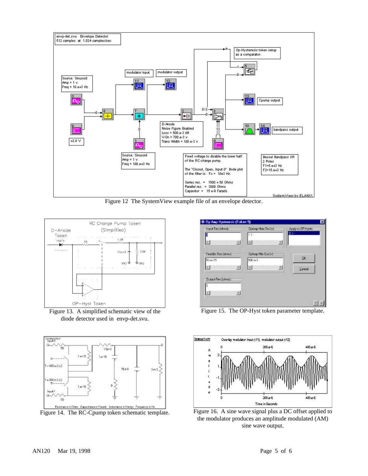

Figure 12 The SystemView example file of an envelope detector.



Figure 13. A simplified schematic view of the diode detector used in envp-det.svu.

![](_page_5_Figure_4.jpeg)

Figure 14. The RC-Cpump token schematic template.

| Input fles (ohns):            | DoAmp Max Gut (v):           | Apply to DP Hysts: |
|-------------------------------|------------------------------|--------------------|
|                               |                              | $5$ <-             |
| The Company of the Company of | . <u>. .</u>                 |                    |
| Feedtk Reclaimst              | - Dokno Min Out (v):         |                    |
| $10.6 + 15$                   | SD0.63                       | OK.                |
| 92 March 198                  | <b>The Common Department</b> | Eancel             |
| <b>Clutput Flessfohmst</b>    |                              |                    |
|                               |                              |                    |
| <b>Controller Manager</b>     |                              |                    |

Figure 15. The OP-Hyst token parameter template.

![](_page_5_Figure_8.jpeg)

Figure 16. A sine wave signal plus a DC offset applied to the modulator produces an amplitude modulated (AM) sine wave output.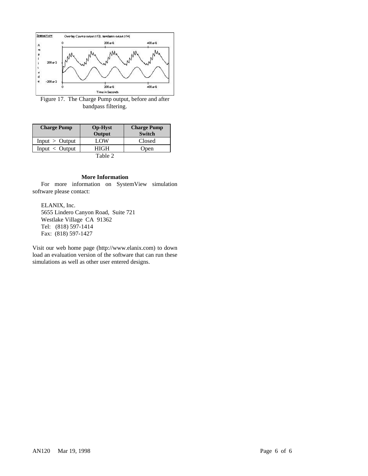![](_page_6_Figure_0.jpeg)

Figure 17. The Charge Pump output, before and after bandpass filtering.

| <b>Charge Pump</b> | <b>Op-Hyst</b> | <b>Charge Pump</b> |
|--------------------|----------------|--------------------|
|                    | Output         | <b>Switch</b>      |
| Input > Output     | LOW            | Closed             |
| $Input <$ Output   | HIGH           | Open               |
| Table 2            |                |                    |

#### **More Information**

For more information on SystemView simulation software please contact:

ELANIX, Inc. 5655 Lindero Canyon Road, Suite 721 Westlake Village CA 91362 Tel: (818) 597-1414 Fax: (818) 597-1427

Visit our web home page (http://www.elanix.com) to down load an evaluation version of the software that can run these simulations as well as other user entered designs.